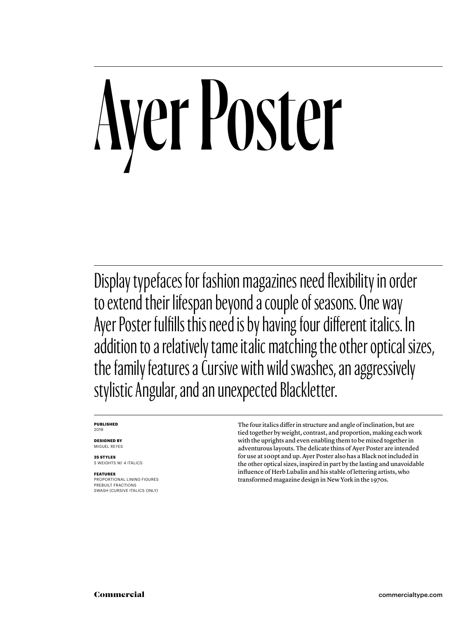## Ayer Poster

Display typefaces for fashion magazines need flexibility in order to extend their lifespan beyond a couple of seasons. One way Ayer Poster fulfills this need is by having four different italics. In addition to a relatively tame italic matching the other optical sizes, the family features a Cursive with wild swashes, an aggressively stylistic Angular, and an unexpected Blackletter.

#### **PUBLISHED** 2019

**DESIGNED BY** MIGUEL REYES

**25 STYLES** 5 WEIGHTS W/ 4 ITALICS

**FEATURES** PROPORTIONAL LINING FIGURES PREBUILT FRACTIONS SWASH (CURSIVE ITALICS ONLY)

The four italics differ in structure and angle of inclination, but are tied together by weight, contrast, and proportion, making each work with the uprights and even enabling them to be mixed together in adventurous layouts. The delicate thins of Ayer Poster are intended for use at 100pt and up. Ayer Poster also has a Black not included in the other optical sizes, inspired in part by the lasting and unavoidable influence of Herb Lubalin and his stable of lettering artists, who transformed magazine design in New York in the 1970s.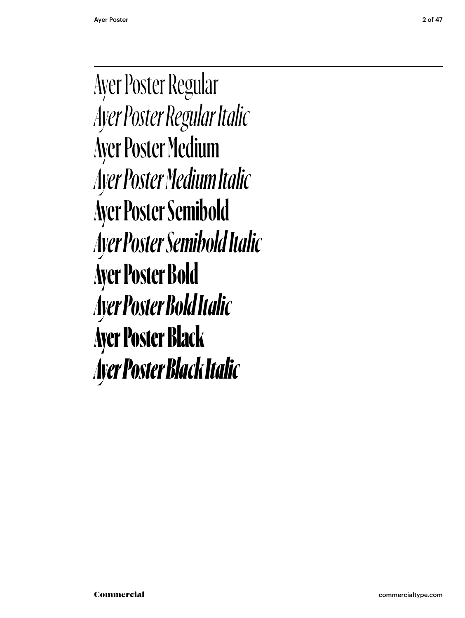Ayer Poster Regular *Ayer Poster Regular Italic* Ayer Poster Medium *Ayer Poster Medium Italic* **Ayer Poster Semibold** *Ayer Poster Semibold Italic* **Ayer Poster Bold** *Ayer Poster Bold Italic* Ayer Poster Black *Ayer Poster Black Italic*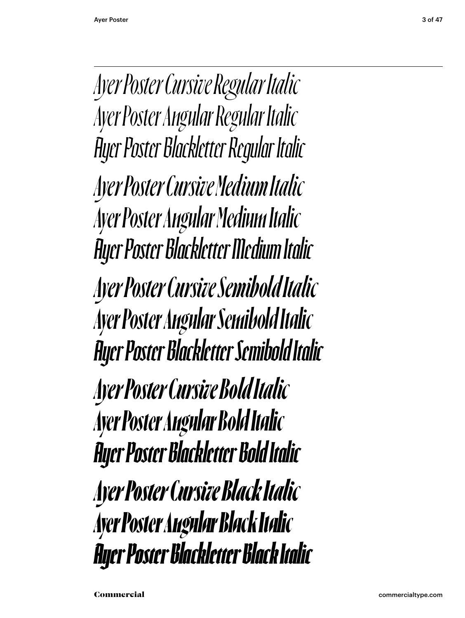*Ayer Poster Cursive Regular Italic Ayer Poster Angular Regular Italic Ayer Poster Blackletter Regular Italic Ayer Poster Cursive Medium Italic Ayer Poster Angular Medium Italic Ayer Poster Blackletter Medium Italic Ayer Poster Cursive Semibold Italic Ayer Poster Angular Semibold Italic Ayer Poster Blackletter Semibold Italic Ayer Poster Cursive Bold Italic Ayer Poster Angular Bold Italic Ayer Poster Blackletter Bold Italic Ayer Poster Cursive Black Italic Ayer Poster Angular Black Italic Ayer Poster Blackletter Black Italic*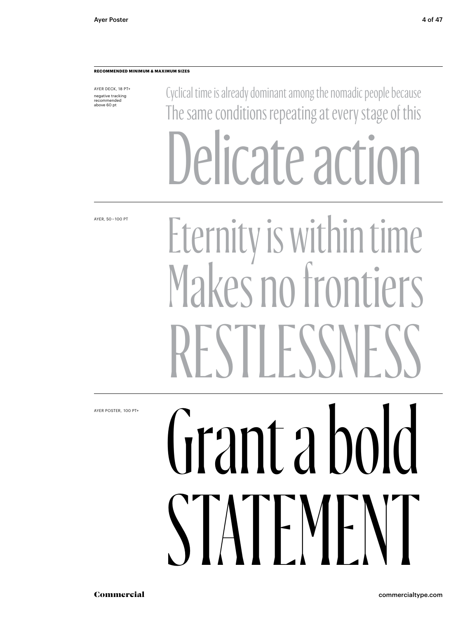#### **RECOMMENDED MINIMUM & MAXIMUM SIZES**

AYER DECK, 18 PT+ negative tracking recommended above 60 pt

Cyclical time is already dominant among the nomadic people because The same conditions repeating at every stage of this Delicate action

AYER, 50 – 100 PT

#### Eternity is within time Makes no frontiers RESTLESSNE

AYER POSTER,  100 PT+

## Grant a bold STATEMENT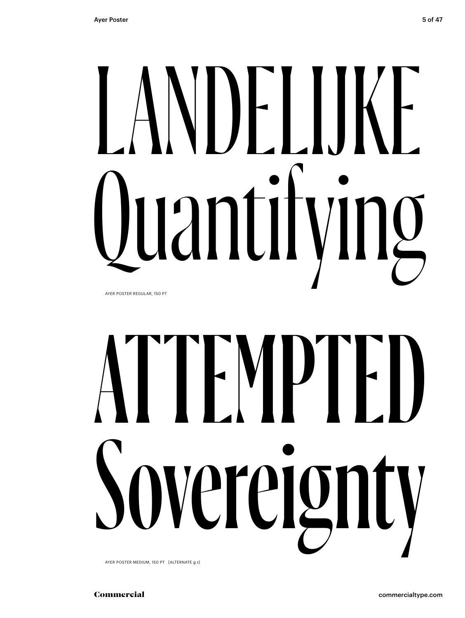## NDELIJKE<br>Iantifving Luantif

AYER POSTER REGULAR, 150 PT

## ATTEMPTED ereign

AYER POSTER MEDIUM, 150 PT [ALTERNATE g t]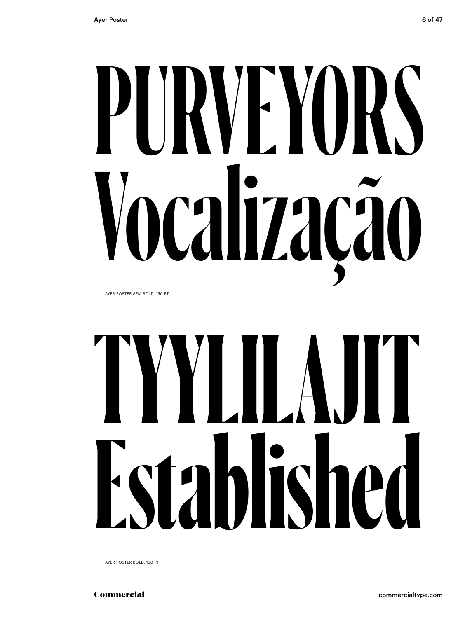## **PURVEYORS Vocalização**

AYER POSTER SEMIBOLD, 150 PT

## **TYYLILAJIT Established**

AYER POSTER BOLD, 150 PT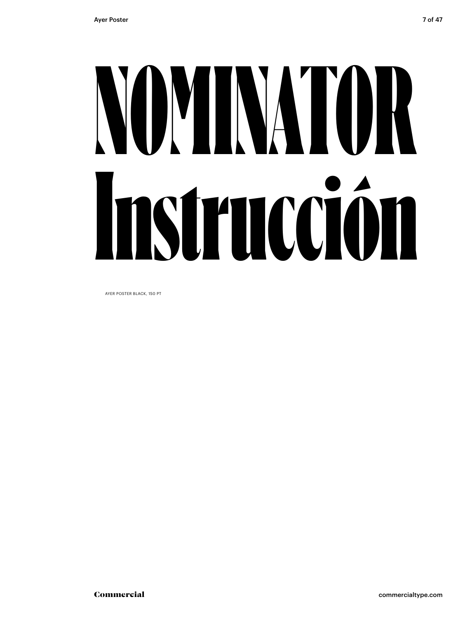## NOMINATOR Instrucción

AYER POSTER BLACK, 150 PT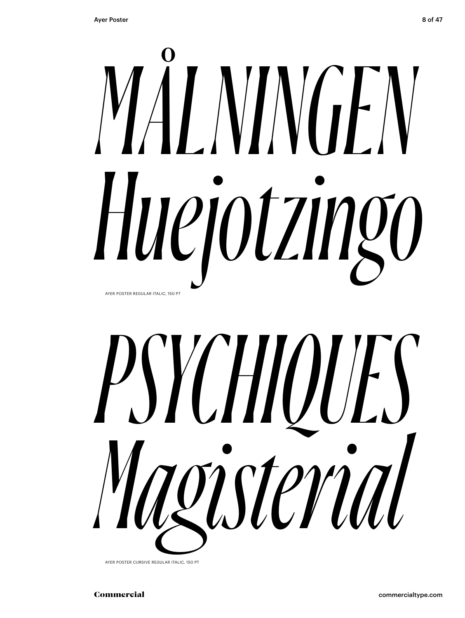### *MÅLNINGEN Huejotzingo* AYER POSTER REGULAR ITALIC, 150 PT



AYER POSTER CURSIVE REGULAR ITALIC, 150 PT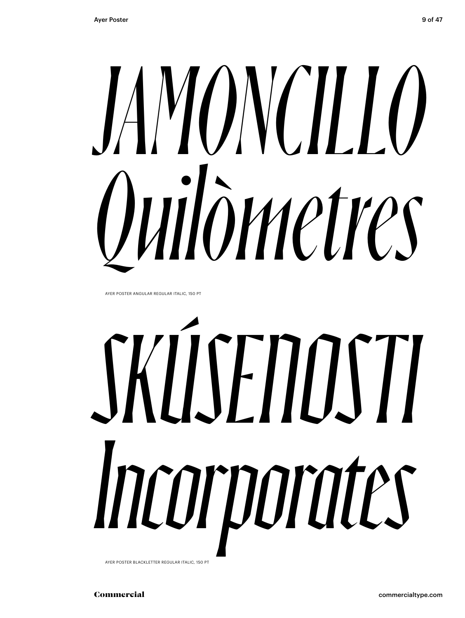## *JAMONCILLO Quilòmetres*

AYER POSTER ANGULAR REGULAR ITALIC, 150 PT

# *SKÚSENOSTI Incorporates*

AYER POSTER BLACKLETTER REGULAR ITALIC, 150 PT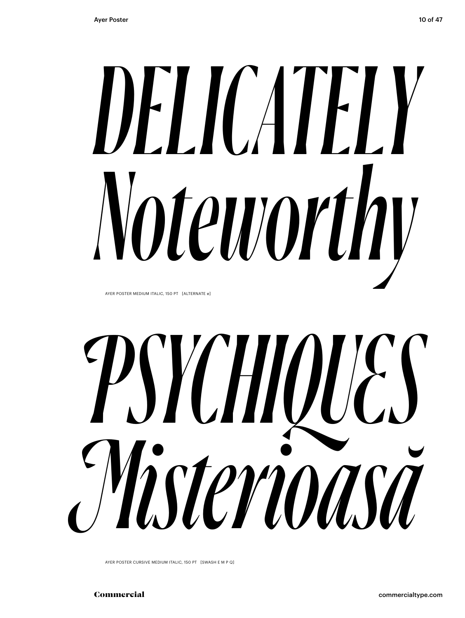## *DELICATELY Noteworthy*

AYER POSTER MEDIUM ITALIC, 150 PT [ALTERNATE e]

*PSYCHIQUES Misterioasă*

AYER POSTER CURSIVE MEDIUM ITALIC, 150 PT [SWASH E M P Q]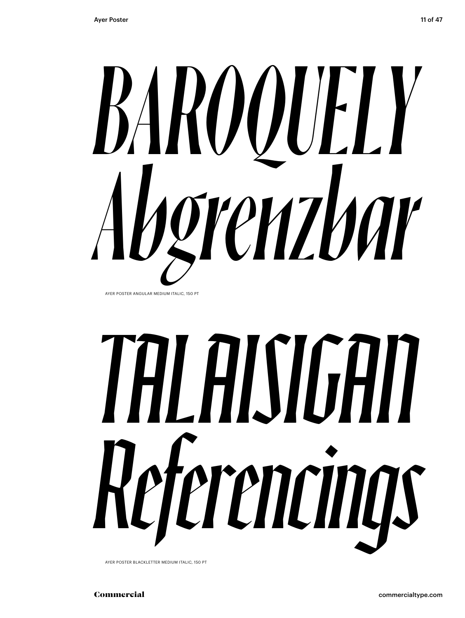

AYER POSTER ANGULAR MEDIUM ITALIC, 150 PT

## *TALAISIGAN Referencings*

AYER POSTER BLACKLETTER MEDIUM ITALIC, 150 PT

Commercial commercialtype.com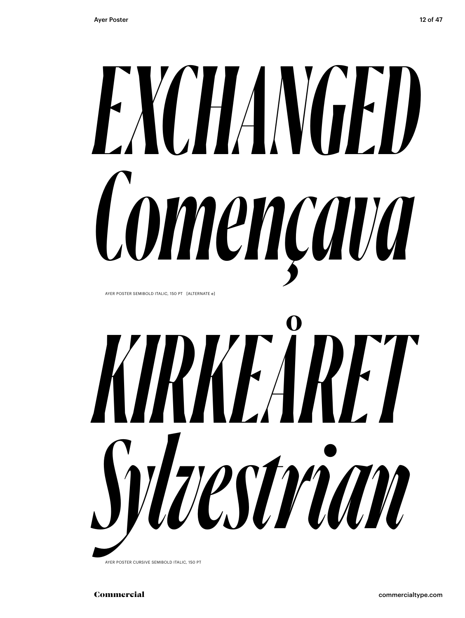### *EXCHANGED Començava* AYER POSTER SEMIBOLD ITALIC, 150 PT [ALTERNATE e]



AYER POSTER CURSIVE SEMIBOLD ITALIC, 150 PT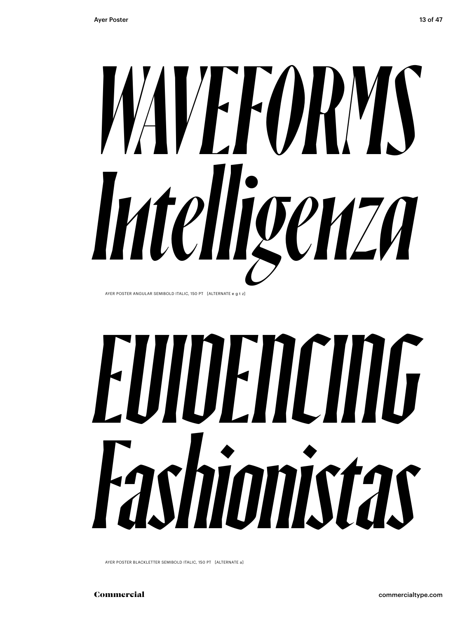

AYER POSTER ANGULAR SEMIBOLD ITALIC, 150 PT [ALTERNATE e g t z]

## *EVIDENCING Fashionistas*

AYER POSTER BLACKLETTER SEMIBOLD ITALIC, 150 PT [ALTERNATE a]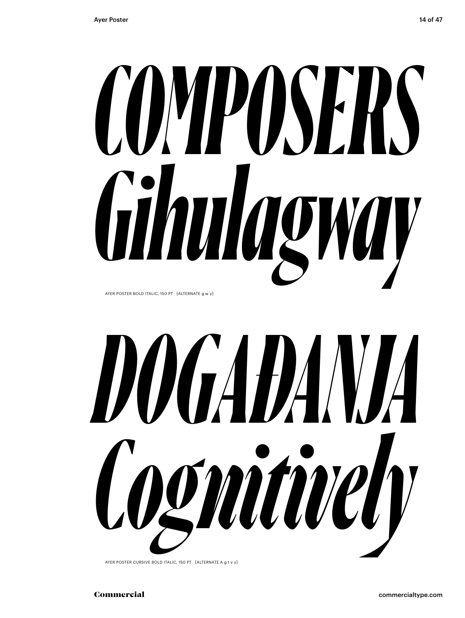## *COMPOSERS Gihulagway*

AYER POSTER BOLD ITALIC, 150 PT [ALTERNATE g w y]



AYER POSTER CURSIVE BOLD ITALIC, 150 PT [ALTERNATE A g t v y]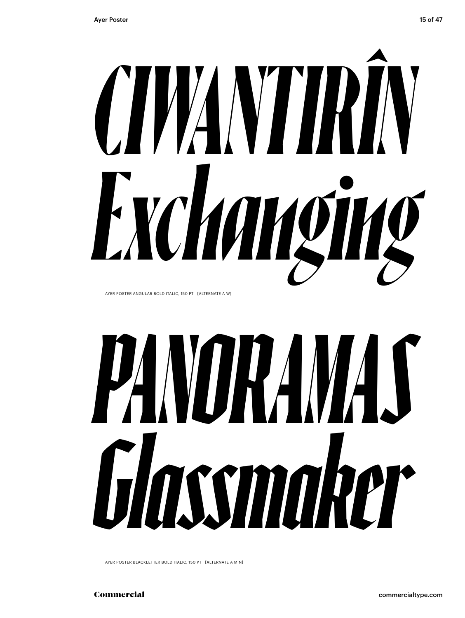

AYER POSTER ANGULAR BOLD ITALIC, 150 PT [ALTERNATE A W]

## *PANORAMAS Glassmaker*

AYER POSTER BLACKLETTER BOLD ITALIC, 150 PT [ALTERNATE A M N]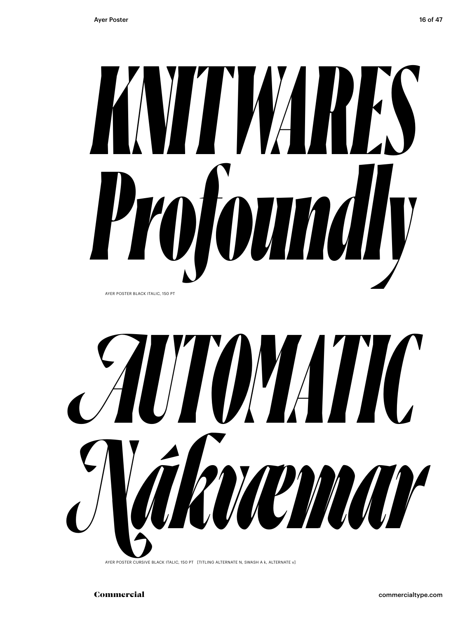



AYER POSTER CURSIVE BLACK ITALIC, 150 PT [TITLING ALTERNATE N, SWASH A k, ALTERNATE v]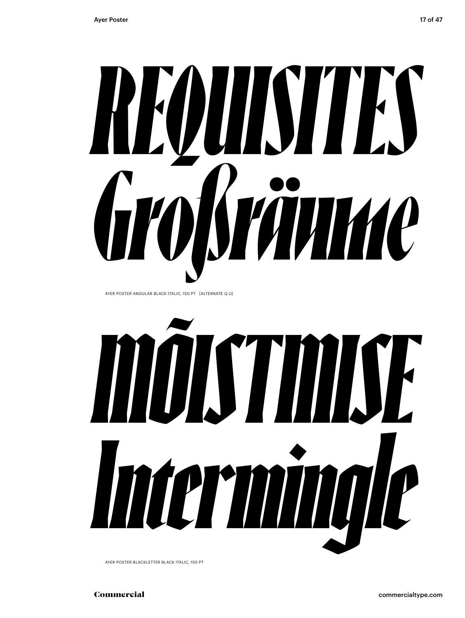

AYER POSTER BLACKLETTER BLACK ITALIC, 150 PT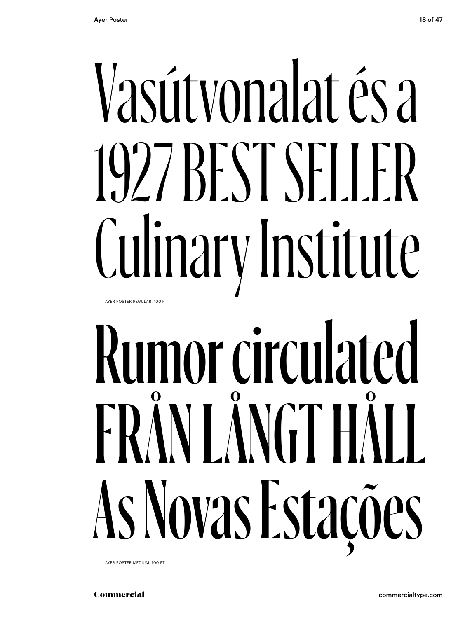#### Vasútvonalat és a 1927 BEST SELLER Culinar y Institute AYER POSTER REGULAR, 100 PT

### Rumor circulated FRÅN LÅNGT HÄ As Novas Estações

AYER POSTER MEDIUM, 100 PT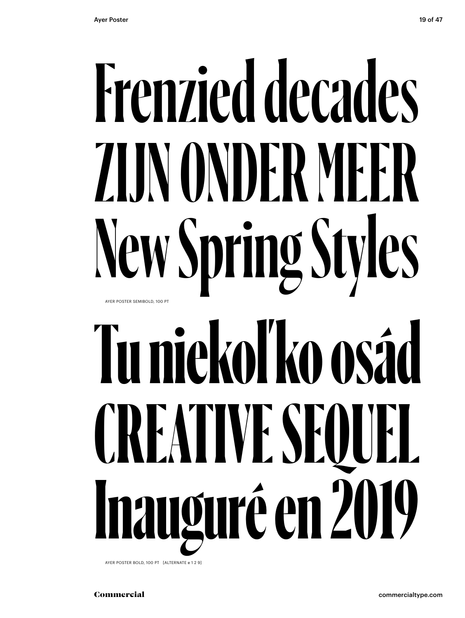#### **Frenzied decades ZIJN ONDER MEER New Spring Styles Tu niekoľ ko osád CREATIVE SEQUEL Inauguré en 2019** AYER POSTER SEMIBOLD, 100 PT

AYER POSTER BOLD, 100 PT [ALTERNATE e 1 2 9]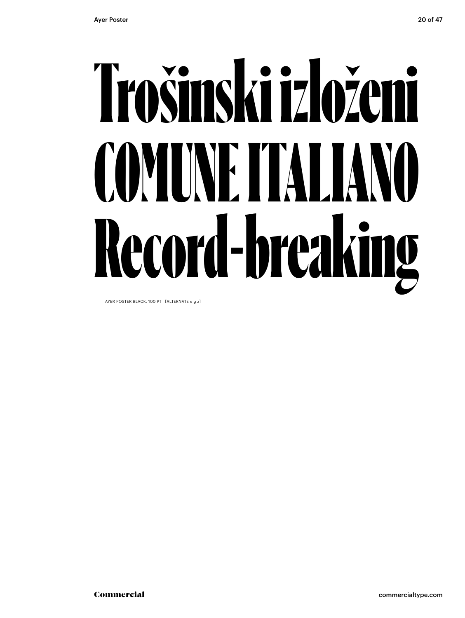### Trošinski izloženi COMUNE ITALIANO Record-breaking

AYER POSTER BLACK, 100 PT [ALTERNATE e g z]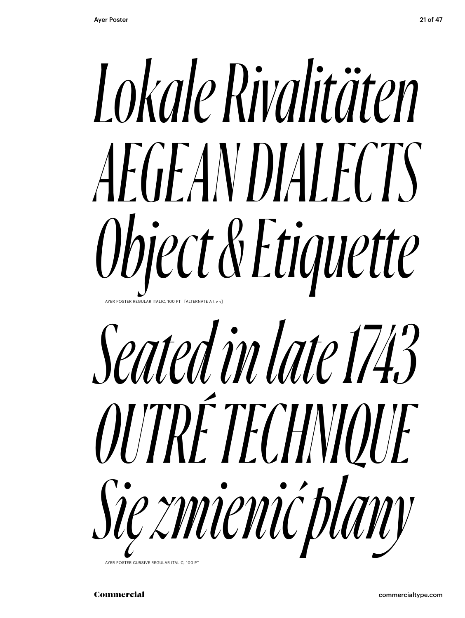



AYER POSTER CURSIVE REGULAR ITALIC, 100 PT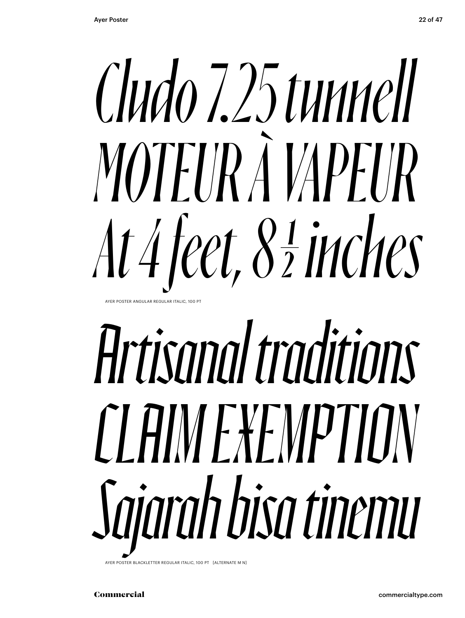

AYER POSTER ANGULAR REGULAR ITALIC, 100 P

### *Artisanal traditions CLAIM EXEMPTION Sajarah bisa tinemu*

BLACKLETTER REGULAR ITALIC, 100 PT [ALTERNATE M N]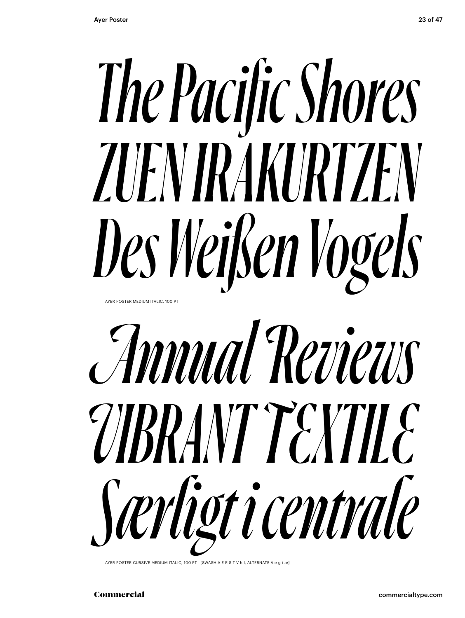#### *The Pacific Shores ZUEN IRAKURTZEN Des Weißen Vogels* AYER POSTER MEDIUM ITALIC, 100 PT



AYER POSTER CURSIVE MEDIUM ITALIC, 100 PT [SWASH A E R S T V h l, ALTERNATE A e g t æ]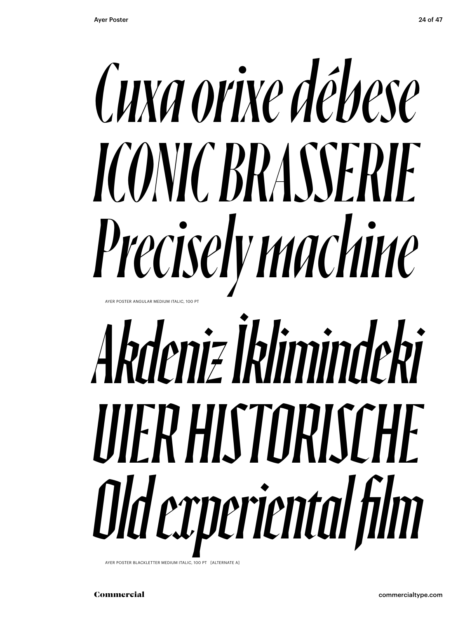#### *Cuxa orixe débese ICONIC BRASSERIE Precisely machine* AYER POSTER ANGULAR MEDIUM ITALIC, 100 PT

### *Akdeniz İklimindeki VIER HISTORISCHE Old experiental film*

AYER POSTER BLACKLETTER MEDIUM ITALIC, 100 PT [ALTERNATE A]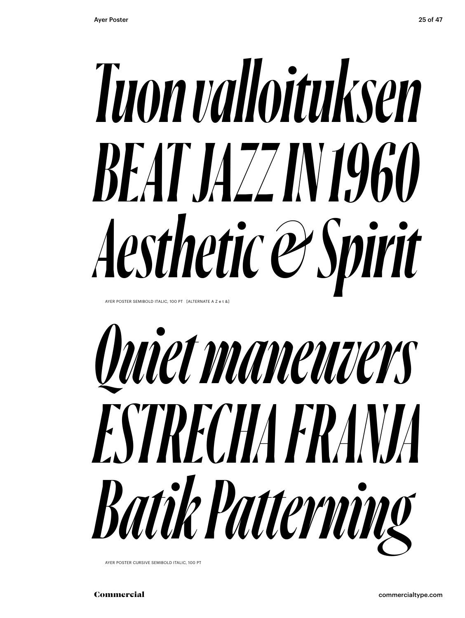### *Tuon valloituksen BEAT JAZZ IN 1960 Aesthetic & Spirit*

AYER POSTER SEMIBOLD ITALIC, 100 PT [ALTERNATE A Z e t &]



AYER POSTER CURSIVE SEMIBOLD ITALIC, 100 PT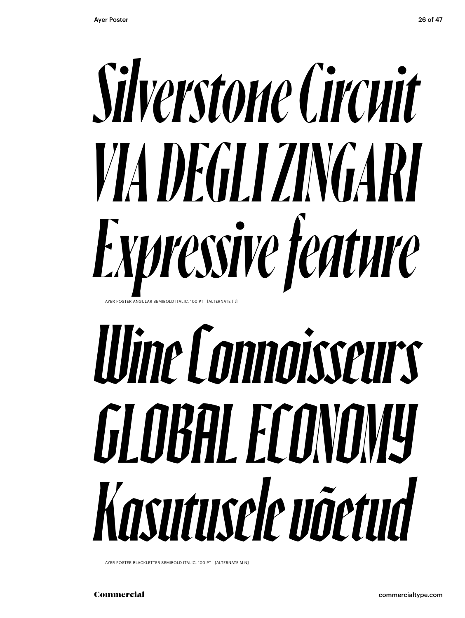

### *Wine Connoisseurs GLOBAL ECONOMY Kasutusele võetud*

AYER POSTER BLACKLETTER SEMIBOLD ITALIC, 100 PT [ALTERNATE M N]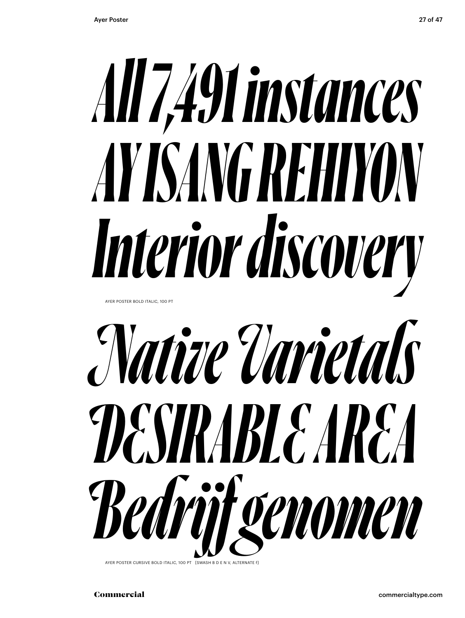

*Bedrijf genomen*

AYER POSTER CURSIVE BOLD ITALIC, 100 PT [SWASH B D E N V, ALTERNATE f]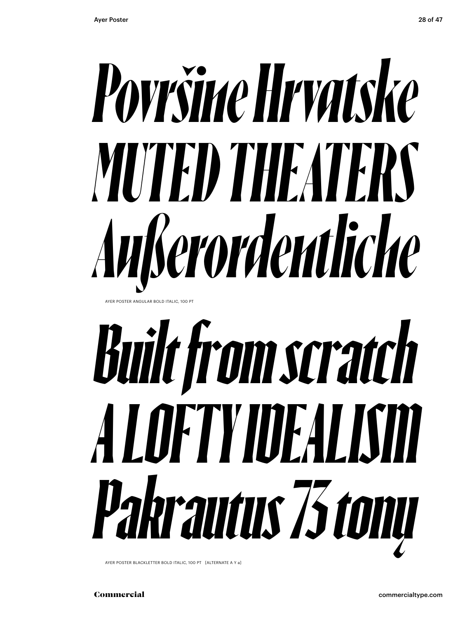

AYER POSTER ANGULAR BOLD ITALIC, 100 PT

### *Built from scratch A LOFTY IDEALISM Pakrautus 73 tonų*

AYER POSTER BLACKLETTER BOLD ITALIC, 100 PT [ALTERNATE A Y a]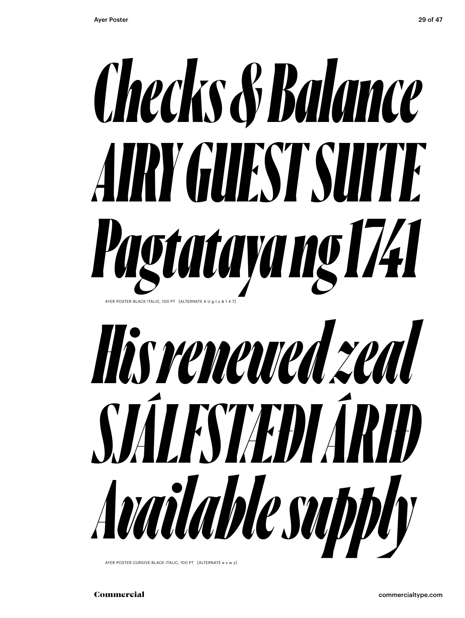



AYER POSTER CURSIVE BLACK ITALIC, 100 PT [ALTERNATE e v w y]

Commercial commercialtype.com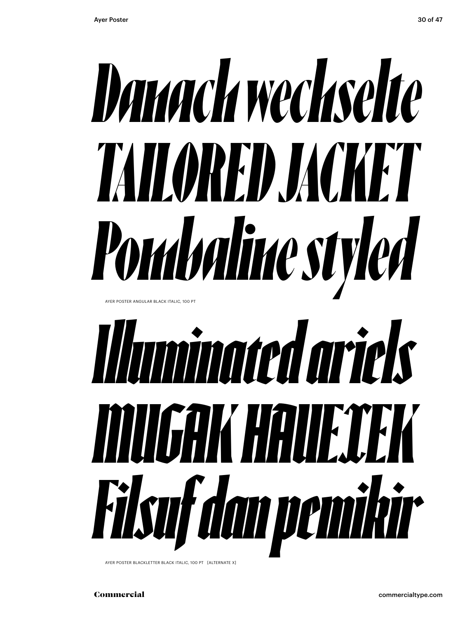

AYER POSTER BLACKLETTER BLACK ITALIC, 100 PT [ALTERNATE X]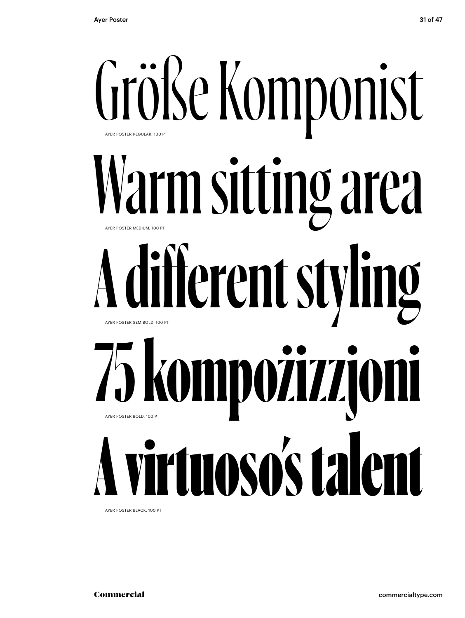

AYER POSTER BLACK, 100 PT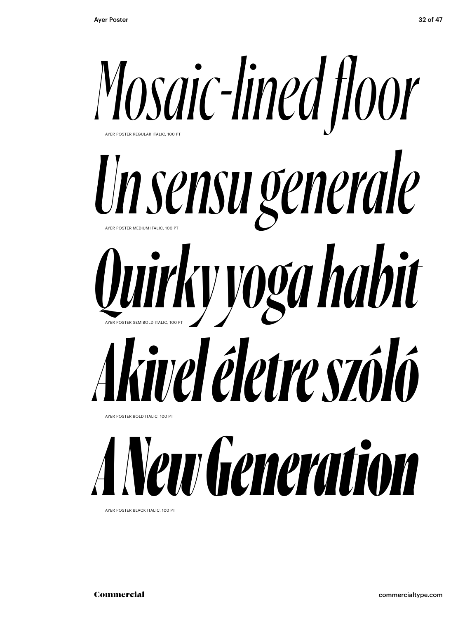

AYER POSTER BLACK ITALIC, 100 PT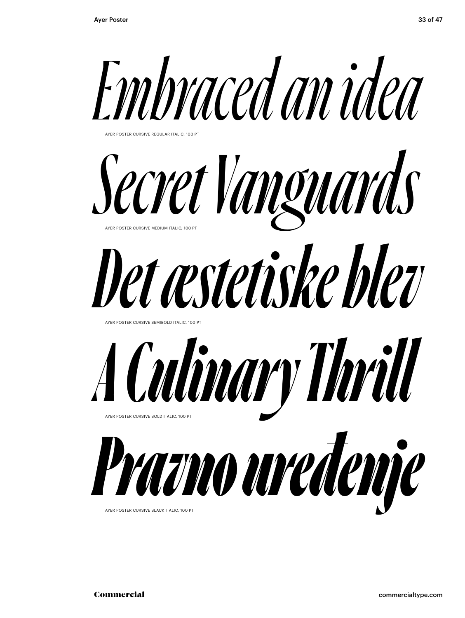





AYER POSTER CURSIVE BLACK ITALIC, 100 P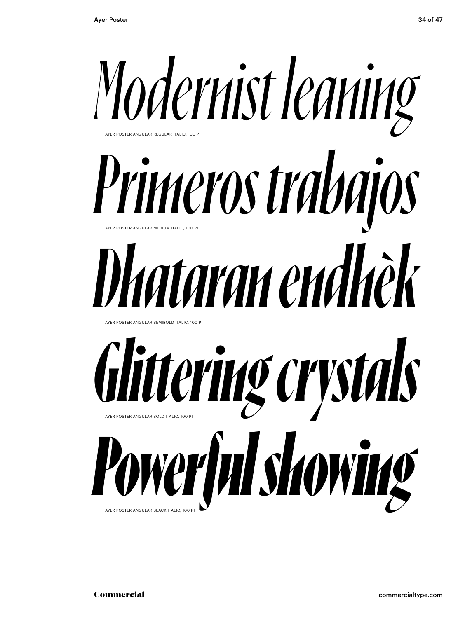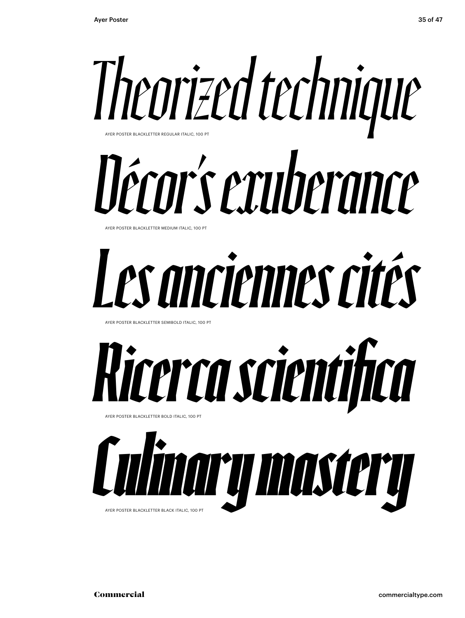

#### *Décor's exuberance* AYER POSTER BLACKLETTER MEDIUM ITALIC, 100 PT

#### *Les anciennes cités*

AYER POSTER BLACKLETTER SEMIBOLD ITALIC, 100 PT



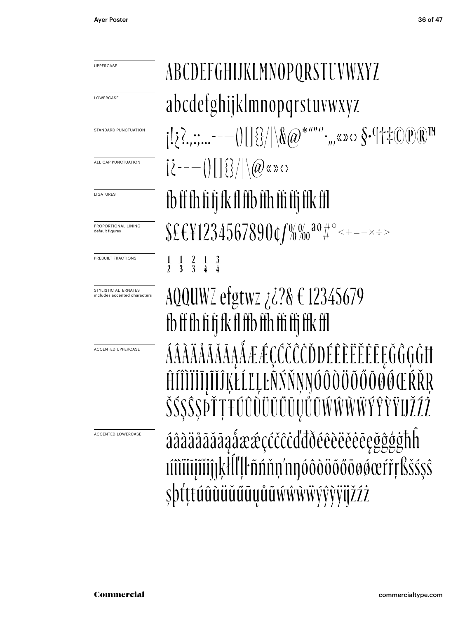**LOWERCASE** 

LIGATURES

default figures

ABCDEFGHIJKLMNOPQRSTUVWXYZ abcdefghijklmnopqrstuvwxyz  $[122, \ldots --(118]/80*$  (a)  $*$  (b)  $\cdots$  ,  $\sim$   $\sim$   $\frac{1}{2}$  (e)  $\mathbb{R}^{\mathbb{N}}$ STANDARD PUNCTUATION  $|\zeta^{---}(|[]\{\}\rangle/|\langle\omega\rangle\rangle\rangle$ ALL CAP PUNCTUATION fb ff fh fi fj fk fl ffb ffh ffi ffj ffk ffl  $$EEY1234567890$ cf%%<sup>20</sup>#°<+=-x:> PROPORTIONAL LINING PREBUILT FRACTIONS  $\frac{1}{2}$   $\frac{1}{3}$   $\frac{2}{3}$   $\frac{1}{4}$   $\frac{3}{4}$ AQQUWZ efgtwz ¿¿?& € 12345679 STYLISTIC ALTERNATES includes accented characters fb ff fh fi fi fk fl ffb ffh ffi ffi ffk ffl ÁÂÀÄÅĂĂĂĄÁÆÆÇĆČČČĎĐÉÊÈËĔĒĘĞĜĢĠĦ ACCENTED UPPERCASE İĪJĨĬĴĶŁĹĽĻĿÑŃŇŅŊÓÔÒŎŎŐŌØŒŔŘŖ ŠŚŞŜSPŤŢŦŰÛŨŬŬŰŨŲŮŨŴŴŴŸ áâàäåããāąåææçččĉċďđðéêèëěēęğĝģġħĥ ACCENTED LOWERCASEvidüü videlle medelem ve kesses videlle medelem ve kesses videligi ve kesses şþťttúûùüŭűūųůũŵŵŵŵýŷỳijžźż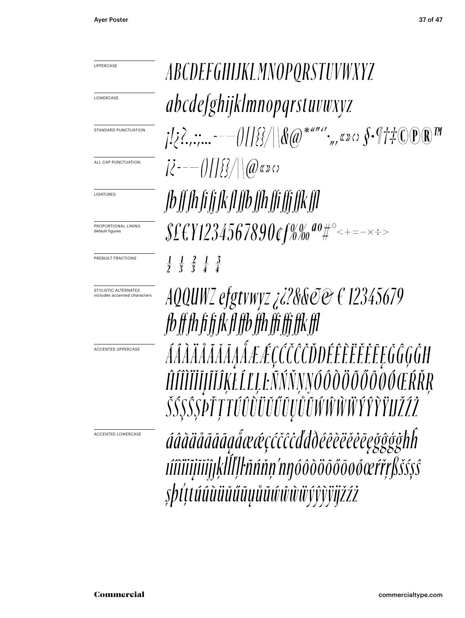**LOWERCASE** 

STANDARD PUNCTUATION

ALL CAP PUNCTUATION

LIGATURES

PROPORTIONAL LINING default figures

PREBUILT FRACTIONS

STYLISTIC ALTERNATES includes accented characters

ACCENTED UPPERCASE

ACCENTED LOWERCASE

ABCDEFGHIJKLMNOPQRSTUVWXYZ abcdefghijklmnopqrstuvwxyz  $j! \geq 2, \ldots ---(1)[\frac{1}{2}]/\sqrt{2}$  (a) \* ""', x > <>  $\int$  -  $\sqrt{7} \pm C$  (P) R M  $|\mathcal{E}^{---}(t)|\sqrt{\mathcal{E}^{2}/t}|\sqrt{a}\sqrt{a}x\sqrt{b}$ fb ff fh fi fi fk fl ffb ffh ffi ffi ffk ffl  $$£$ \{1234567890\tf%%ao#°<+=- $\times$  $\frac{1}{2}$   $\frac{1}{3}$   $\frac{2}{3}$   $\frac{1}{4}$   $\frac{3}{4}$ 

AQQUWZ efgtvwyz ¿¿?&& $\mathcal{O}\mathfrak{C} \in 12345679$ fb ff fh fi fi fk fl ffb ffh ffi ffi ffk ffl ÁÂÀÄÅĂĂĂĄÅÆÆÇCČČŎĎĐÉÊĔĔĔĔĘĞĜĢĠĦ ĤÍÎĨĨĬĬIJĨĬĴĶŁĹĽĻĿÑŃŇŅŊŐÔŎŎŎŐŎŎŎŒŔŘŖ ŠŚ\$Ŝ\$PŤŢŦŰÛŨŨŬŰŨŲŮŨŴŴŴŴŶŶŶŸIJŽŹŻ

áâàäåããããaẩææçćčĉċďđðéêèëëëēęğĝģġħĥ tîdiitijitihkll[lŀñńňn'nnóôdöõőōø@efřrßš\$\$\$ şþťttúûùüŭűūųůũŵŵŵŭýŷỳÿjžźż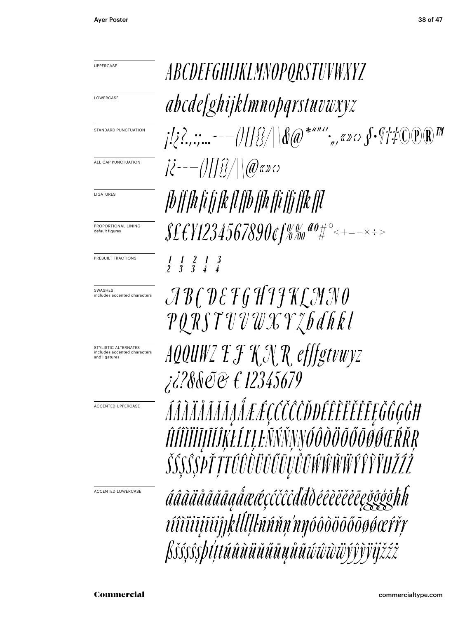**LOWERCASE** 

STANDARD PUNCTUATION

ALL CAP PUNCTUATION

LIGATURES

PROPORTIONAL LINING default figures

PREBUILT FRACTIONS

SWASHES includes accented characters

STYLISTIC ALTERNATES includes accented characters and ligatures

ACCENTED UPPERCASE

ACCENTED LOWERCASE

ABCDEFGHIJKLMNOPQRSTUVWXYZ abcdefghijklmnopqrstuvwxyz  $|\vec{k}^{---}(t)|\sqrt{\frac{2}{3}}$  \ \  $(\mathcal{Q}$  & x c) fb ff fh fi fi fk fl ffb ffh ffi ffi ffk ffl  $\frac{1}{2}$   $\frac{1}{3}$   $\frac{2}{3}$   $\frac{1}{4}$   $\frac{3}{4}$  $\mathcal{A}\mathcal{B} \mathcal{C} \mathcal{D} \mathcal{E} \mathcal{F} \mathcal{G} \mathcal{H} \mathcal{I} \mathcal{H} \mathcal{L} \mathcal{H} \mathcal{N} \mathcal{O}$ PQRSTUVWXYZbdhkl AQQUWZ E F K N R efffgtvwyz *¿28&@@ € 12345679* ÁÂÀĂÅĂĂĂĄÅÆÆÇĆČČŎĎĐÉÊĔĔĔĔĔĘĞĜĢĠĦ ĤÍÎĨĨĬĬIJĨĬĴĶŁĹĽĻĿÑŃŇŅŊÓÔŎŎŎŐŎŎŔŒŔŘŖ ŠŚŞŜȘPŤŢŦŰÛŨÜŬŰŨŲŮŨŴŴŴŸŶŶŸIJŽŹŻ áâãäåãããa@åææçćčĉċďďðéêèëĕĕēeğĝģġħh títtüüjttipkllllhann'nyóôdöööösserry ßšśşŝşþtttúûùüŭűūųůũŵŵŵiyŷỳÿjžźż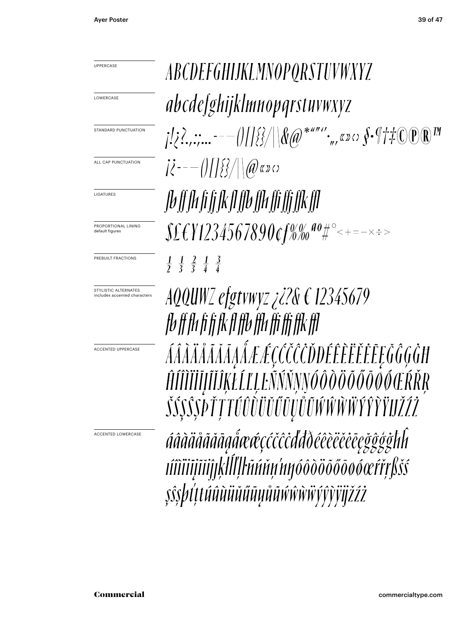**LOWERCASE** 

STANDARD PUNCTUATION

ALL CAP PUNCTUATION

LIGATURES

PROPORTIONAL LINING default figures

PREBUILT FRACTIONS

STYLISTIC ALTERNATES includes accented characters

ACCENTED UPPERCASE

ACCENTED LOWERCASE

ABCDEFGHIJKLMNOPQRSTUVWXYZ abcdefghijklmnopqrstuvwxyz  $\int_{\mathbb{R}}\sum_{i=1}^{N}$  :  $\sum_{i=1}^{N}$  = - -  $\int_{\mathbb{R}}\sqrt{\frac{2}{N}}\sqrt{\frac{2}{N}}$   $\int_{\mathbb{R}}\sqrt{\frac{2}{N}}$   $\int_{\mathbb{R}}\sqrt{\frac{2}{N}}$   $\int_{\mathbb{R}}\sqrt{\frac{2}{N}}$   $\int_{\mathbb{R}}\sqrt{\frac{2}{N}}$   $\int_{\mathbb{R}}\sqrt{\frac{2}{N}}$   $\int_{\mathbb{R}}\sqrt{\frac{2}{N}}$   $\int_{\mathbb{R}}\sqrt{\frac{2}{N}}$   $|\mathcal{X}^{---}(t)|\sqrt{\mathcal{E}^{2}/t}|\sqrt{a}\sqrt{a}x\sigma$ TV If Ih fi fi fk f1 ffb ffh ffi ffi ffk ff1  $\Sigma_{\text{E}}$  (Y1234567890cf%% ao#°<+=- $\times$ :>  $\frac{1}{2}$   $\frac{1}{3}$   $\frac{2}{3}$   $\frac{1}{4}$   $\frac{3}{4}$ 

AQQUWZ efgtvwyz  $\chi i$ ?&  $\epsilon$  12345679 fb ff fh fi fi fk fl ffb ffh ffi ffi ffk ffl ÁÂÀÄÅĂĂĂĄÅÆÆÇCČČŎĐÉÊĔĔĔĔĔĘĞĜĢĠĦ ĤÍÎĨĨĬĬĬĬĨĬŔŁĹĽĻĿÑŃŇŅŊŐÔŎŎŎŎŎŎŒŔŘŖ *ŠŚŞŜŞÞŤŢŦŰÛŨÜŬŰŨŲŮŨŴŴŴŸŶŶŸIJŽŹŻ* 

áâàäåãăāa@@@@@@@@@@@@@@@@@@@@@@@@ tîtilijilijek a sava ve kili ku sava se sa se sa se sa se sa se sa se sa se sa se sa se sa se sa se *şîşbtttúûùüŭŭūyůũŵŵŵŵÿŷỳÿijžźż*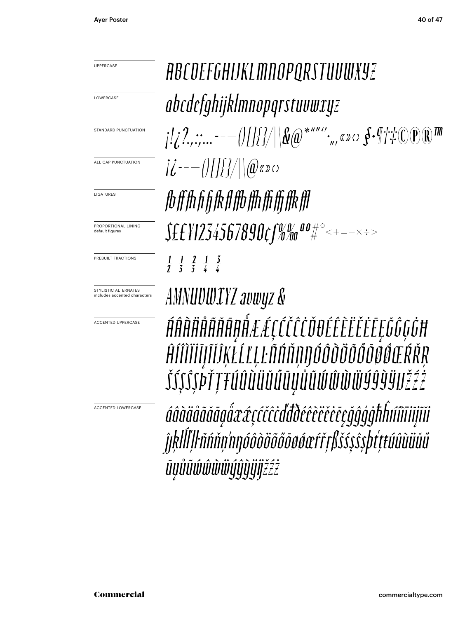**LOWERCASE** 

STANDARD PUNCTUATION

ALL CAP PUNCTUATION

LIGATURES

PROPORTIONAL LINING default figures

PREBUILT FRACTIONS

STYLISTIC ALTERNATES includes accented characters

ACCENTED UPPERCASE

ACCENTED LOWERCASE

ABCDEFGHIJKLMNOPQRSTUVWXYZ abcdefghijklmnopgrstuvwxyz  $|L^2_{k_1},L^2_{k_2},...=-|1|$   $|1/2|$   $|\&$   $\omega^{*}$   $\omega^{*}$   $\cdots$   $\omega^{*}$   $\sim$   $\int$   $\cdot$   $\psi^{*}$   $\psi^{*}$   $\psi^{*}$   $\psi^{*}$   $\psi^{*}$ fbfffhfifikflffbffhffiffkffl  $\Sigma_{\text{H}}$  $\frac{1}{2}$   $\frac{1}{5}$   $\frac{2}{5}$   $\frac{1}{4}$   $\frac{3}{4}$ 

AMNUUWIYZ avwyz & ŔŔŔŔŔŔŔŔŖŔĿĹĊĊĊĊŎŧĿĔĔĔĔĔĔĔĔŎĠĢĠĦ

ĤÍÎÌĬĬĬĬĬĨŔĿĹĽĻĿÑŃŇŅŊÓÔŎŎŎŎŎŎŔŒŔŘŖ ŠŚŞ\$\$PŤŢŦÚÛÙŬŬŬŨŲŮŨŴŴŴŸŶŶŸIJŽŹŻ

áâãäåããāgåææçćčĉċďđðéêèëěĕēçğĝģġħĥúîìïijĩij ĵŖŀĺĺŢŀñńňņ'nŋóôòöōŏōøøœŕřŗßšśşŝşþťttúûùüŭű ŪŲŮŨŴŴŴŴŲŶŨijĔŹŹ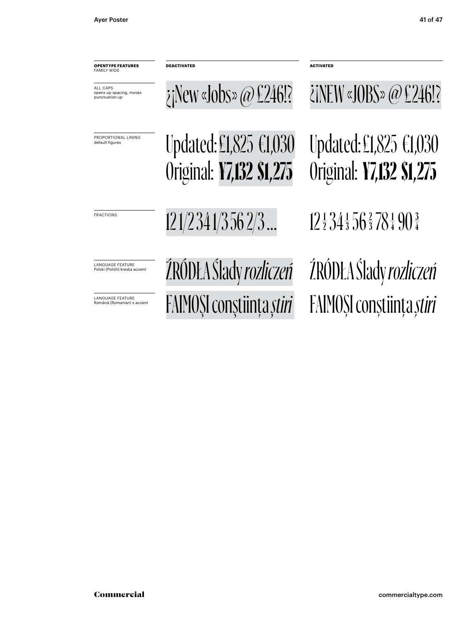**OPENTYPE FEATURES** FAMILY WIDE

opens up spacing, moves punctuation up

ALL CAPS

PROPORTIONAL LINING default figures

**DEACTIVATED ACTIVATED**

 $\phi$  in New «Jobs»  $\omega \in 246!$ ?  $\phi$  in EW «JOBS»  $\omega \in 246!$ ?

Updated:£1,825 €1,030

Original: **¥7,132 \$1,275**

Updated:£1,825 €1,030 Original: **¥7,132 \$1,275**

FRACTIONS 12 1/2 34 1/3 56 2/3 … 12  $\frac{1}{2}$  34  $\frac{1}{3}$  56  $\frac{2}{3}$  78  $\frac{1}{4}$  90  $\frac{3}{4}$ 

LANGUAGE FEATURE Polski (Polish) kreska accent

LANGUAGE FEATURE Română (Romanian) s accent ŹRÓDŁA Ślady *rozliczeń* ŹRÓDŁA Ślady *rozliczeń* FAIMOŞI conştiinţa *ştiri* FAIMOŞI conştiinţa *ştiri*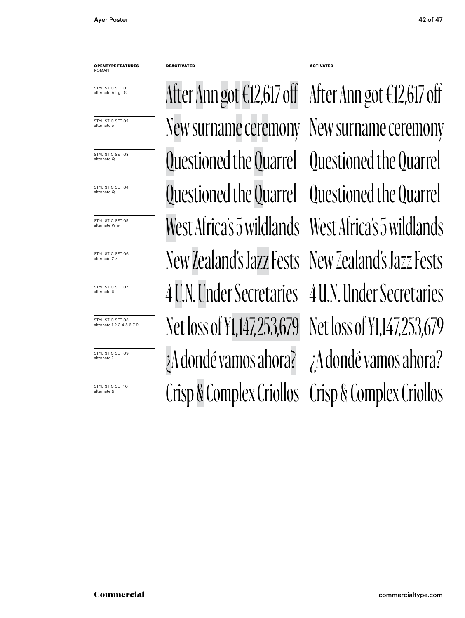#### **OPENTYPE FEATURES** ROMAN

STYLISTIC SET 01 alternate A f g t €

STYLISTIC SET 02 alternate e

STYLISTIC SET 03 alternate Q

STYLISTIC SET 04 alternate Q

STYLISTIC SET 05<br>alternate W w

STYLISTIC SET 06 alternate Z z

STYLISTIC SET 07 alternate U

STYLISTIC SET 08 alternate 1 2 3 4 5 6 7 9

STYLISTIC SFT 09 alternate ?

STYLISTIC SET 10

Questioned the Quarrel Questioned the Quarrel Questioned the Quarrel New surname ceremony New surname ceremony After Ann got€12,617 off After Ann got €12,617 off Crisp & Complex Criollos Crisp & Complex Criollos ¿A dondé vamos ahora? ¿A dondé vamos ahora? Net loss of ¥1,147,253,679 Net loss of ¥1,147,253,679 4 U.N. Under Secretaries 4 U.N. Under Secretaries New Zealand's Jazz Fests New Zealand's Jazz Fests West Africa's 5 wildlands West Africa's 5 wildlands

**DEACTIVATED ACTIVATED**

Questioned the Quarrel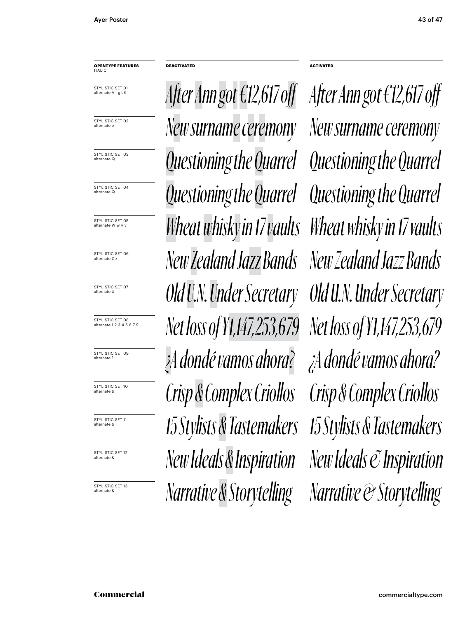#### **OPENTYPE FEATURES** ITALIC

STYLISTIC SET 01 alternate A f g t €

STYLISTIC SFT 02 alternate e

STYLISTIC SET 03 alternate Q

STYLISTIC SET 04 alternate Q

STYLISTIC SET 05<br>alternate W w v y

STYLISTIC SET 06 alternate Z z

STYLISTIC SET 07 alternate U

STYLISTIC SFT 08 alternate 1 2 3 4 5 6 7 9

STYLISTIC SET 09 alternate ?

STYLISTIC SET 10

alternate &

STYLISTIC SFT 12

alternate &

*Questioning the Quarrel Questioning the Quarrel Questioning the Quarrel New surname ceremony New surname ceremony After Ann got€12,617 off After Ann got €12,617 off* alternate & *Crisp & Complex Criollos Crisp & Complex Criollos ¿A dondé vamos ahora? ¿A dondé vamos ahora? Net loss of ¥1,147,253,679 Net loss of ¥1,147,253,679 Old U.N. Under Secretary Old U.N. Under Secretary New Zealand Jazz Bands New Zealand Jazz Bands IS Stylists & Tastemakers* **15 Stylists & Tastemakers 15 Stylists & Tastemakers** Wheat whisky in 17 vaults Wheat whisky in 17 vaults *Narrative & Storytelling Marrative & Storytelling Marrative & Storytelling* alternate & *New Ideals & Inspiration New Ideals & Inspiration*

**DEACTIVATED ACTIVATED**

*Questioning the Quarrel*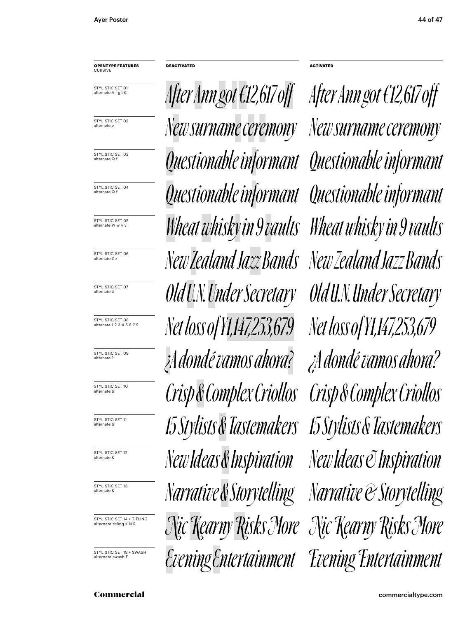#### **OPENTYPE FEATURES CURSIVE**

STYLISTIC SET 01 alternate A f g t €

STYLISTIC SFT 02 alternate e

STYLISTIC SET 03 alternate Q f

STYLISTIC SET 04 alternate Q f

STYLISTIC SET 05

STYLISTIC SET 06 alternate Z z

STYLISTIC SET 07 alternate U

STYLISTIC SFT 08 alternate 1 2 3 4 5 6 7 9

STYLISTIC SET 09 alternate ?

STYLISTIC SET 10

alternate &

STYLISTIC SFT 12

alternate &

STYLISTIC SET 14 + TITLING alternate titling K N R

STYLISTIC SET 15 + SWASH alternate swash E

*Questionable informant Questionable informant Questionable informant New surname ceremony New surname ceremony After Ann got€12,617 off After Ann got €12,617 off* alternate & *Crisp & Complex Criollos Crisp & Complex Criollos ¿A dondé vamos ahora? ¿A dondé vamos ahora? Net loss of ¥1,147,253,679 Net loss of ¥1,147,253,679 Old U.N. Under Secretary Old U.N. Under Secretary New Zealand Jazz Bands New Zealand Jazz Bands IS Stylists & Tastemakers 15 Stylists & Tastemakers 15 Stylists & Tastemakers* alternate W w v y *Wheat whisky in 9 vaults Wheat whisky in 9 vaults ISTYLISTICS* BET 18 *Narrative & Storytelling Marrative & Storytelling* alternate & *New Ideas & Inspiration New Ideas & Inspiration Nic Kearny Risks More Nic Kearny Risks More Evening Entertainment Evening Entertainment* 

**DEACTIVATED ACTIVATED**

*Questionable informant*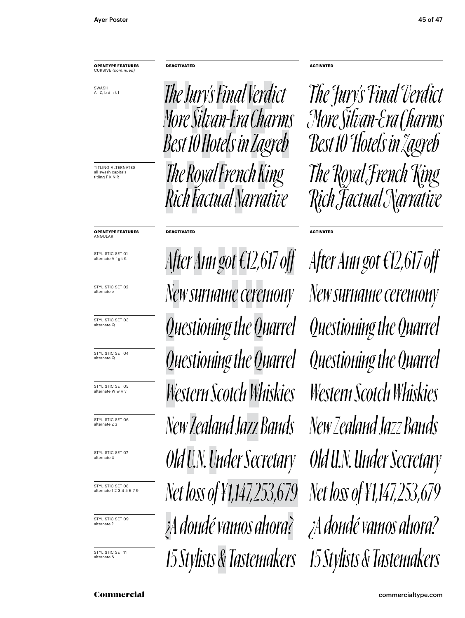SWASH A – Z, b d h k l

all swash capitals<br>titling F K N R

**OPENTYPE FEATURES** CURSIVE *(continued)* **DEACTIVATED ACTIVATED** TITLING ALTERNATES *The Royal French King Rich Factual Narrative The Jury's Final Verdict More Silvan-Era Charms Best 10 Hotels in Zagreb* **OPENTYPE FEATURES DEACTIVATED**

STYLISTIC SET 01

alternate A f g t €

ANGULAR

STYLISTIC SET 02 alternate e

STYLISTIC SET 03 alternate Q

STYLISTIC SET 04 alternate Q

STYLISTIC SET 05

STYLISTIC SET 06 alternate Z z

STYLISTIC SET 07 alternate U

STYLISTIC SET 08 alternate 1 2 3 4 5 6 7 9

STYLISTIC SET 09 alternate ?

alternate &

*Questioning the Quarrel Questioning the Quarrel Questioning the Quarrel New surname ceremony New surname ceremony After Ann got€12 ,617 off After Ann got €12 ,617 off ¿A dondé vamos ahora? ¿A dondé vamos ahora? Net loss of ¥1,147, 253,679 Net loss of ¥1,147, 253,679 Old U.N. Under Secretary Old U.N. Under Secretary New Zealand Jazz Bands New Zealand Jazz Bands* <sup>57741576</sup> SET TO **15 Stylists & Tastemakers** 15 Stylists & Tastemakers alternate W w v y *Western Scotch Whiskies Western Scotch Whiskies*

titling F K N R *The Royal French King Rich Factual Narrative The Jury's Final Verdict More Silvan-Era Charms Best 10 Hotels in Zagreb*

**ACTIVATED**

*Questioning the Quarrel*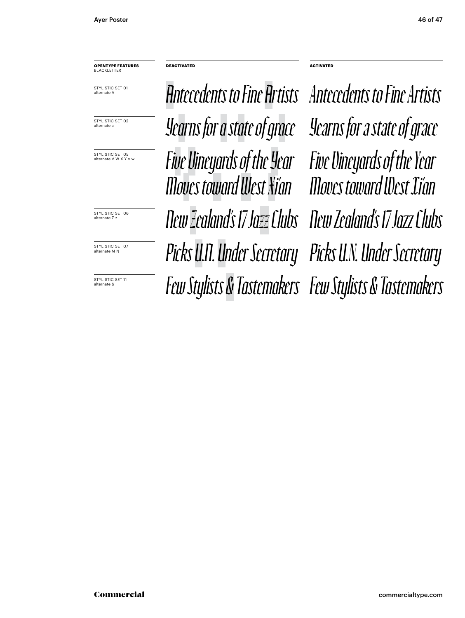**OPENTYPE FEATURES** BLACKLETTER

STYLISTIC SET 01 alternate A

STYLISTIC SFT 02

STYLISTIC SET 05<br>alternate V W X Y v w

STYLISTIC SET OF alternate Z z

STYLISTIC SET 07

alternate &

alternate a *Yearns for a state of grace Yearns for a state of grace Antecedents to Fine Artists Antecedents to Fine Artists* Picks U.N. Under Secretary Picks U.N. Under Secretary *New Zealand's 17 Jazz Clubs New Zealand's 17 Jazz Clubs* **FEW Stylists & Tastemakers** *Few Stylists & Tastemakers Few Stylists & Tastemakers alternate V W X Y* **v w Five Vineyards of the Year Five Vineyards of the Year** *Moves toward West Xi'an Moves toward West Xi'an*

**DEACTIVATED ACTIVATED**